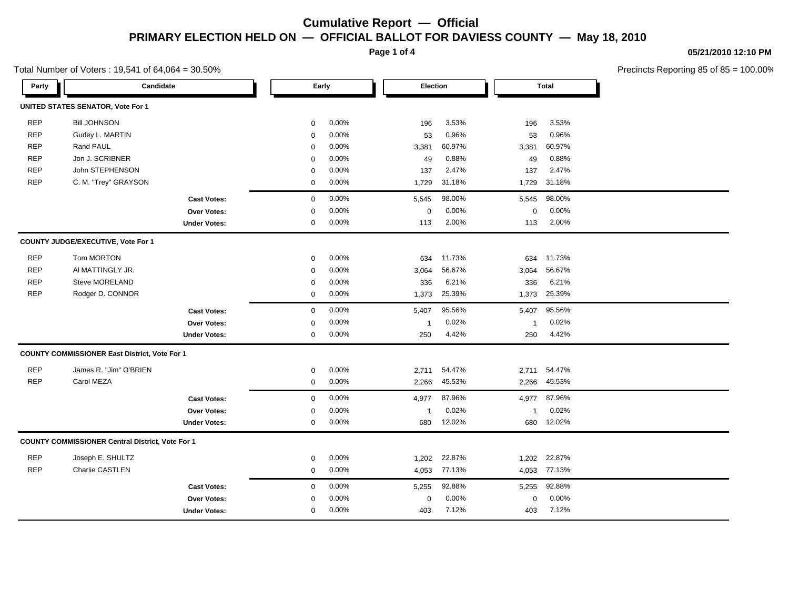**Page 1 of 4**

### **05/21/2010 12:10 PM**

Precincts Reporting 85 of 85 = 100.00%

|            | $\frac{1}{2}$                                           |                     |             |       |                         |          |             |              |  |  |
|------------|---------------------------------------------------------|---------------------|-------------|-------|-------------------------|----------|-------------|--------------|--|--|
| Party      | Candidate                                               |                     | Early       |       |                         | Election |             | <b>Total</b> |  |  |
|            | <b>UNITED STATES SENATOR, Vote For 1</b>                |                     |             |       |                         |          |             |              |  |  |
| <b>REP</b> | <b>Bill JOHNSON</b>                                     |                     | $\mathbf 0$ | 0.00% | 196                     | 3.53%    | 196         | 3.53%        |  |  |
| <b>REP</b> | Gurley L. MARTIN                                        |                     | $\mathbf 0$ | 0.00% | 53                      | 0.96%    | 53          | 0.96%        |  |  |
| <b>REP</b> | Rand PAUL                                               |                     | $\mathbf 0$ | 0.00% | 3,381                   | 60.97%   | 3,381       | 60.97%       |  |  |
| <b>REP</b> | Jon J. SCRIBNER                                         |                     | $\mathbf 0$ | 0.00% | 49                      | 0.88%    | 49          | 0.88%        |  |  |
| <b>REP</b> | John STEPHENSON                                         |                     | $\mathbf 0$ | 0.00% | 137                     | 2.47%    | 137         | 2.47%        |  |  |
| <b>REP</b> | C. M. "Trey" GRAYSON                                    |                     | 0           | 0.00% | 1,729                   | 31.18%   | 1,729       | 31.18%       |  |  |
|            |                                                         | <b>Cast Votes:</b>  | $\mathbf 0$ | 0.00% | 5,545                   | 98.00%   | 5,545       | 98.00%       |  |  |
|            |                                                         | Over Votes:         | 0           | 0.00% | 0                       | 0.00%    | $\mathbf 0$ | 0.00%        |  |  |
|            |                                                         | <b>Under Votes:</b> | 0           | 0.00% | 113                     | 2.00%    | 113         | 2.00%        |  |  |
|            | COUNTY JUDGE/EXECUTIVE, Vote For 1                      |                     |             |       |                         |          |             |              |  |  |
| <b>REP</b> | Tom MORTON                                              |                     | 0           | 0.00% | 634                     | 11.73%   | 634         | 11.73%       |  |  |
| <b>REP</b> | AI MATTINGLY JR.                                        |                     | $\mathbf 0$ | 0.00% | 3,064                   | 56.67%   | 3,064       | 56.67%       |  |  |
| <b>REP</b> | Steve MORELAND                                          |                     | 0           | 0.00% | 336                     | 6.21%    | 336         | 6.21%        |  |  |
| <b>REP</b> | Rodger D. CONNOR                                        |                     | 0           | 0.00% | 1,373                   | 25.39%   | 1,373       | 25.39%       |  |  |
|            |                                                         | <b>Cast Votes:</b>  | $\mathbf 0$ | 0.00% | 5,407                   | 95.56%   | 5,407       | 95.56%       |  |  |
|            |                                                         | <b>Over Votes:</b>  | 0           | 0.00% | $\overline{\mathbf{1}}$ | 0.02%    | -1          | 0.02%        |  |  |
|            |                                                         | <b>Under Votes:</b> | 0           | 0.00% | 250                     | 4.42%    | 250         | 4.42%        |  |  |
|            | <b>COUNTY COMMISSIONER East District, Vote For 1</b>    |                     |             |       |                         |          |             |              |  |  |
| <b>REP</b> | James R. "Jim" O'BRIEN                                  |                     | 0           | 0.00% | 2,711                   | 54.47%   | 2,711       | 54.47%       |  |  |
| <b>REP</b> | Carol MEZA                                              |                     | $\mathbf 0$ | 0.00% | 2,266                   | 45.53%   | 2,266       | 45.53%       |  |  |
|            |                                                         | <b>Cast Votes:</b>  | $\mathbf 0$ | 0.00% | 4,977                   | 87.96%   | 4,977       | 87.96%       |  |  |
|            |                                                         | <b>Over Votes:</b>  | 0           | 0.00% | $\overline{\mathbf{1}}$ | 0.02%    | -1          | 0.02%        |  |  |
|            |                                                         | <b>Under Votes:</b> | 0           | 0.00% | 680                     | 12.02%   | 680         | 12.02%       |  |  |
|            | <b>COUNTY COMMISSIONER Central District, Vote For 1</b> |                     |             |       |                         |          |             |              |  |  |
| <b>REP</b> | Joseph E. SHULTZ                                        |                     | 0           | 0.00% | 1,202                   | 22.87%   | 1,202       | 22.87%       |  |  |
| <b>REP</b> | Charlie CASTLEN                                         |                     | 0           | 0.00% | 4,053                   | 77.13%   | 4,053       | 77.13%       |  |  |
|            |                                                         | <b>Cast Votes:</b>  | $\mathbf 0$ | 0.00% | 5,255                   | 92.88%   | 5,255       | 92.88%       |  |  |
|            |                                                         | Over Votes:         | 0           | 0.00% | 0                       | 0.00%    | $\mathbf 0$ | 0.00%        |  |  |
|            |                                                         | <b>Under Votes:</b> | $\mathbf 0$ | 0.00% | 403                     | 7.12%    | 403         | 7.12%        |  |  |
|            |                                                         |                     |             |       |                         |          |             |              |  |  |

Total Number of Voters : 19,541 of 64,064 = 30.50%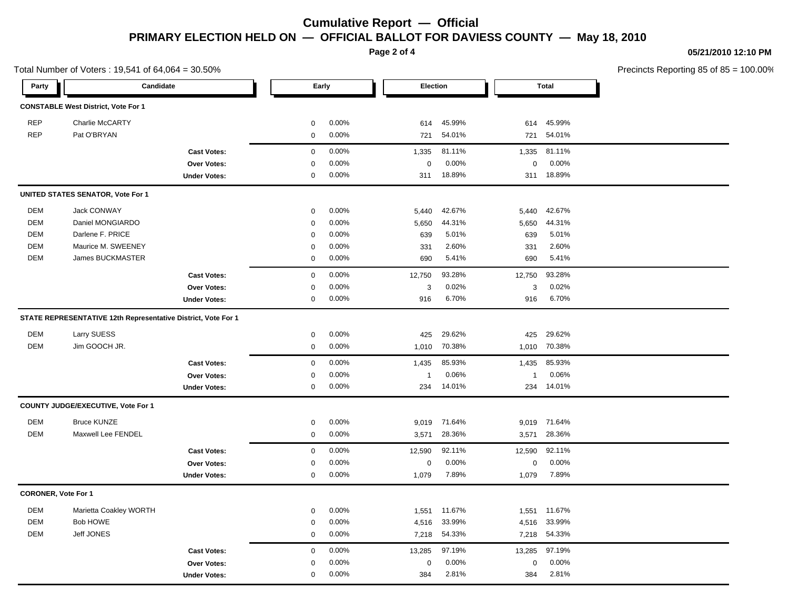**Page 2 of 4**

### **05/21/2010 12:10 PM**

Precincts Reporting 85 of 85 = 100.00%

| Total Number of Voters: 19,541 of 64,064 = 30.50% |                                                               |                     |             |       |              |        |              | Precincts Reporting 85 of 85 |  |
|---------------------------------------------------|---------------------------------------------------------------|---------------------|-------------|-------|--------------|--------|--------------|------------------------------|--|
| Party                                             | Candidate                                                     |                     | Early       |       | Election     |        |              | <b>Total</b>                 |  |
|                                                   | <b>CONSTABLE West District, Vote For 1</b>                    |                     |             |       |              |        |              |                              |  |
| <b>REP</b>                                        | Charlie McCARTY                                               |                     | $\mathbf 0$ | 0.00% | 614          | 45.99% | 614          | 45.99%                       |  |
| <b>REP</b>                                        | Pat O'BRYAN                                                   |                     | $\mathbf 0$ | 0.00% | 721          | 54.01% | 721          | 54.01%                       |  |
|                                                   |                                                               | <b>Cast Votes:</b>  | $\mathsf 0$ | 0.00% | 1,335        | 81.11% | 1,335        | 81.11%                       |  |
|                                                   |                                                               | Over Votes:         | $\Omega$    | 0.00% | $\mathbf 0$  | 0.00%  | $\mathbf 0$  | 0.00%                        |  |
|                                                   |                                                               | <b>Under Votes:</b> | $\mathbf 0$ | 0.00% | 311          | 18.89% | 311          | 18.89%                       |  |
|                                                   | UNITED STATES SENATOR, Vote For 1                             |                     |             |       |              |        |              |                              |  |
| DEM                                               | <b>Jack CONWAY</b>                                            |                     | $\mathbf 0$ | 0.00% | 5,440        | 42.67% | 5,440        | 42.67%                       |  |
| <b>DEM</b>                                        | Daniel MONGIARDO                                              |                     | 0           | 0.00% | 5,650        | 44.31% | 5,650        | 44.31%                       |  |
| <b>DEM</b>                                        | Darlene F. PRICE                                              |                     | 0           | 0.00% | 639          | 5.01%  | 639          | 5.01%                        |  |
| DEM                                               | Maurice M. SWEENEY                                            |                     | $\Omega$    | 0.00% | 331          | 2.60%  | 331          | 2.60%                        |  |
| DEM                                               | James BUCKMASTER                                              |                     | $\mathbf 0$ | 0.00% | 690          | 5.41%  | 690          | 5.41%                        |  |
|                                                   |                                                               | <b>Cast Votes:</b>  | $\mathbf 0$ | 0.00% | 12,750       | 93.28% | 12,750       | 93.28%                       |  |
|                                                   |                                                               | Over Votes:         | $\Omega$    | 0.00% | 3            | 0.02%  | 3            | 0.02%                        |  |
|                                                   |                                                               | <b>Under Votes:</b> | 0           | 0.00% | 916          | 6.70%  | 916          | 6.70%                        |  |
|                                                   | STATE REPRESENTATIVE 12th Representative District, Vote For 1 |                     |             |       |              |        |              |                              |  |
| DEM                                               | Larry SUESS                                                   |                     | $\mathbf 0$ | 0.00% | 425          | 29.62% | 425          | 29.62%                       |  |
| <b>DEM</b>                                        | Jim GOOCH JR.                                                 |                     | 0           | 0.00% | 1,010        | 70.38% | 1,010        | 70.38%                       |  |
|                                                   |                                                               | <b>Cast Votes:</b>  | $\mathbf 0$ | 0.00% | 1,435        | 85.93% | 1,435        | 85.93%                       |  |
|                                                   |                                                               | Over Votes:         | $\mathbf 0$ | 0.00% | $\mathbf{1}$ | 0.06%  | $\mathbf{1}$ | 0.06%                        |  |
|                                                   |                                                               | <b>Under Votes:</b> | 0           | 0.00% | 234          | 14.01% | 234          | 14.01%                       |  |
|                                                   | COUNTY JUDGE/EXECUTIVE, Vote For 1                            |                     |             |       |              |        |              |                              |  |
| <b>DEM</b>                                        | <b>Bruce KUNZE</b>                                            |                     | 0           | 0.00% | 9,019        | 71.64% | 9,019        | 71.64%                       |  |
| <b>DEM</b>                                        | Maxwell Lee FENDEL                                            |                     | $\mathbf 0$ | 0.00% | 3,571        | 28.36% | 3,571        | 28.36%                       |  |
|                                                   |                                                               | <b>Cast Votes:</b>  | $\mathbf 0$ | 0.00% | 12,590       | 92.11% | 12,590       | 92.11%                       |  |
|                                                   |                                                               | Over Votes:         | 0           | 0.00% | $\mathbf 0$  | 0.00%  | $\mathbf 0$  | 0.00%                        |  |
|                                                   |                                                               | <b>Under Votes:</b> | $\mathbf 0$ | 0.00% | 1,079        | 7.89%  | 1,079        | 7.89%                        |  |
| <b>CORONER, Vote For 1</b>                        |                                                               |                     |             |       |              |        |              |                              |  |
| <b>DEM</b>                                        | Marietta Coakley WORTH                                        |                     | 0           | 0.00% | 1,551        | 11.67% | 1,551        | 11.67%                       |  |
| <b>DEM</b>                                        | <b>Bob HOWE</b>                                               |                     | $\Omega$    | 0.00% | 4,516        | 33.99% | 4,516        | 33.99%                       |  |
| DEM                                               | Jeff JONES                                                    |                     | $\mathbf 0$ | 0.00% | 7,218        | 54.33% | 7,218        | 54.33%                       |  |
|                                                   |                                                               | <b>Cast Votes:</b>  | $\mathbf 0$ | 0.00% | 13,285       | 97.19% | 13,285       | 97.19%                       |  |
|                                                   |                                                               | Over Votes:         | 0           | 0.00% | $\mathbf 0$  | 0.00%  | $\mathbf 0$  | 0.00%                        |  |
|                                                   |                                                               | <b>Under Votes:</b> | $\mathbf 0$ | 0.00% | 384          | 2.81%  | 384          | 2.81%                        |  |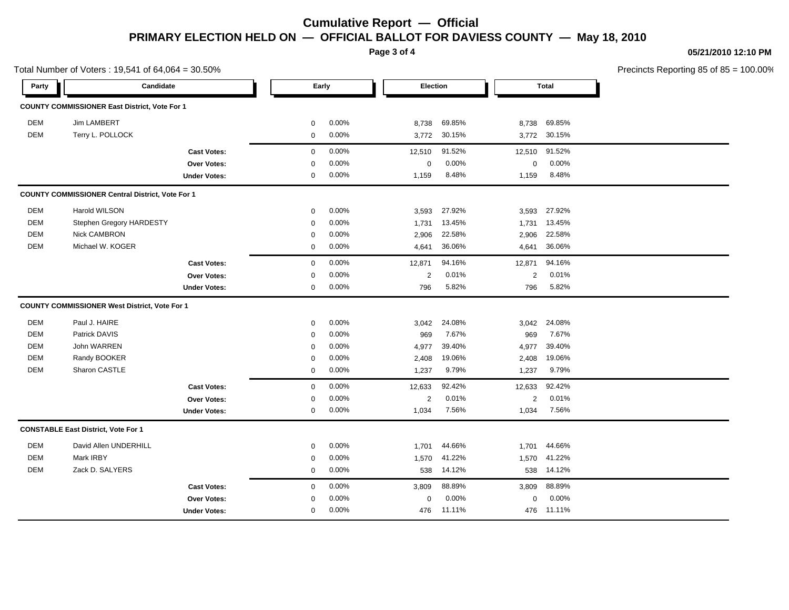**Page 3 of 4**

### **05/21/2010 12:10 PM**

Precincts Reporting 85 of 85 = 100.00%

| Total Number of Voters: 19,541 of 64,064 = 30.50% |                                                         |                     |              |       |                |          |                |              | Precincts Reporting 85 of 85 |  |
|---------------------------------------------------|---------------------------------------------------------|---------------------|--------------|-------|----------------|----------|----------------|--------------|------------------------------|--|
| Party                                             | Candidate                                               |                     | Early        |       |                | Election |                | <b>Total</b> |                              |  |
|                                                   | COUNTY COMMISSIONER East District, Vote For 1           |                     |              |       |                |          |                |              |                              |  |
| DEM                                               | Jim LAMBERT                                             |                     | 0            | 0.00% | 8,738          | 69.85%   | 8,738          | 69.85%       |                              |  |
| DEM                                               | Terry L. POLLOCK                                        |                     | 0            | 0.00% | 3,772          | 30.15%   | 3,772          | 30.15%       |                              |  |
|                                                   |                                                         | <b>Cast Votes:</b>  | 0            | 0.00% | 12,510         | 91.52%   | 12,510         | 91.52%       |                              |  |
|                                                   |                                                         | Over Votes:         | 0            | 0.00% | $\mathbf 0$    | 0.00%    | $\mathbf 0$    | 0.00%        |                              |  |
|                                                   |                                                         | <b>Under Votes:</b> | 0            | 0.00% | 1,159          | 8.48%    | 1,159          | 8.48%        |                              |  |
|                                                   | <b>COUNTY COMMISSIONER Central District, Vote For 1</b> |                     |              |       |                |          |                |              |                              |  |
| DEM                                               | Harold WILSON                                           |                     | $\mathbf 0$  | 0.00% | 3,593          | 27.92%   | 3,593          | 27.92%       |                              |  |
| DEM                                               | Stephen Gregory HARDESTY                                |                     | 0            | 0.00% | 1,731          | 13.45%   | 1,731          | 13.45%       |                              |  |
| <b>DEM</b>                                        | <b>Nick CAMBRON</b>                                     |                     | 0            | 0.00% | 2,906          | 22.58%   | 2,906          | 22.58%       |                              |  |
| DEM                                               | Michael W. KOGER                                        |                     | 0            | 0.00% | 4,641          | 36.06%   | 4,641          | 36.06%       |                              |  |
|                                                   |                                                         | <b>Cast Votes:</b>  | $\mathbf{0}$ | 0.00% | 12,871         | 94.16%   | 12,871         | 94.16%       |                              |  |
|                                                   |                                                         | <b>Over Votes:</b>  | $\mathbf 0$  | 0.00% | $\overline{2}$ | 0.01%    | $\overline{2}$ | 0.01%        |                              |  |
|                                                   |                                                         | <b>Under Votes:</b> | $\mathbf{0}$ | 0.00% | 796            | 5.82%    | 796            | 5.82%        |                              |  |
|                                                   | <b>COUNTY COMMISSIONER West District, Vote For 1</b>    |                     |              |       |                |          |                |              |                              |  |
| DEM                                               | Paul J. HAIRE                                           |                     | 0            | 0.00% | 3,042          | 24.08%   | 3,042          | 24.08%       |                              |  |
| DEM                                               | Patrick DAVIS                                           |                     | 0            | 0.00% | 969            | 7.67%    | 969            | 7.67%        |                              |  |
| DEM                                               | John WARREN                                             |                     | $\mathbf 0$  | 0.00% | 4,977          | 39.40%   | 4,977          | 39.40%       |                              |  |
| DEM                                               | Randy BOOKER                                            |                     | 0            | 0.00% | 2,408          | 19.06%   | 2,408          | 19.06%       |                              |  |
| DEM                                               | Sharon CASTLE                                           |                     | 0            | 0.00% | 1,237          | 9.79%    | 1,237          | 9.79%        |                              |  |
|                                                   |                                                         | <b>Cast Votes:</b>  | 0            | 0.00% | 12,633         | 92.42%   | 12,633         | 92.42%       |                              |  |
|                                                   |                                                         | Over Votes:         | 0            | 0.00% | 2              | 0.01%    | 2              | 0.01%        |                              |  |
|                                                   |                                                         | <b>Under Votes:</b> | 0            | 0.00% | 1,034          | 7.56%    | 1,034          | 7.56%        |                              |  |
|                                                   | <b>CONSTABLE East District, Vote For 1</b>              |                     |              |       |                |          |                |              |                              |  |
| DEM                                               | David Allen UNDERHILL                                   |                     | 0            | 0.00% | 1,701          | 44.66%   | 1,701          | 44.66%       |                              |  |
| DEM                                               | Mark IRBY                                               |                     | 0            | 0.00% | 1,570          | 41.22%   | 1,570          | 41.22%       |                              |  |
| DEM                                               | Zack D. SALYERS                                         |                     | $\mathbf 0$  | 0.00% | 538            | 14.12%   | 538            | 14.12%       |                              |  |
|                                                   |                                                         | <b>Cast Votes:</b>  | $\mathbf{0}$ | 0.00% | 3,809          | 88.89%   | 3,809          | 88.89%       |                              |  |
|                                                   |                                                         | Over Votes:         | $\mathbf 0$  | 0.00% | $\mathbf 0$    | 0.00%    | $\mathbf 0$    | 0.00%        |                              |  |
|                                                   |                                                         | <b>Under Votes:</b> | $\mathbf 0$  | 0.00% | 476            | 11.11%   | 476            | 11.11%       |                              |  |